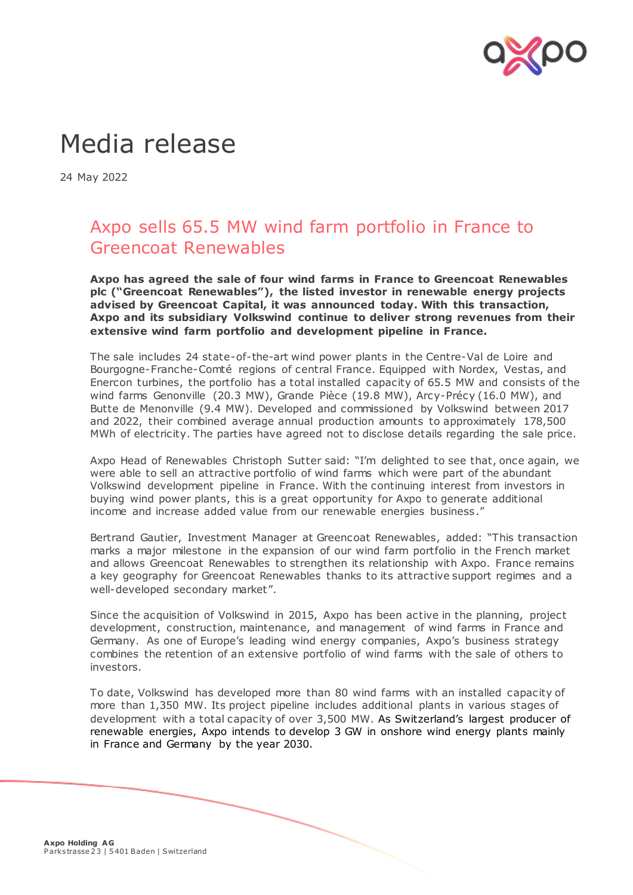

## Media release

24 May 2022

## Axpo sells 65.5 MW wind farm portfolio in France to Greencoat Renewables

**Axpo has agreed the sale of four wind farms in France to Greencoat Renewables plc ("Greencoat Renewables"), the listed investor in renewable energy projects advised by Greencoat Capital, it was announced today. With this transaction, Axpo and its subsidiary Volkswind continue to deliver strong revenues from their extensive wind farm portfolio and development pipeline in France.**

The sale includes 24 state-of-the-art wind power plants in the Centre-Val de Loire and Bourgogne-Franche-Comté regions of central France. Equipped with Nordex, Vestas, and Enercon turbines, the portfolio has a total installed capacity of 65.5 MW and consists of the wind farms Genonville (20.3 MW), Grande Pièce (19.8 MW), Arcy-Précy (16.0 MW), and Butte de Menonville (9.4 MW). Developed and commissioned by Volkswind between 2017 and 2022, their combined average annual production amounts to approximately 178,500 MWh of electricity. The parties have agreed not to disclose details regarding the sale price.

Axpo Head of Renewables Christoph Sutter said: "I'm delighted to see that, once again, we were able to sell an attractive portfolio of wind farms which were part of the abundant Volkswind development pipeline in France. With the continuing interest from investors in buying wind power plants, this is a great opportunity for Axpo to generate additional income and increase added value from our renewable energies business."

Bertrand Gautier, Investment Manager at Greencoat Renewables, added: "This transaction marks a major milestone in the expansion of our wind farm portfolio in the French market and allows Greencoat Renewables to strengthen its relationship with Axpo. France remains a key geography for Greencoat Renewables thanks to its attractive support regimes and a well-developed secondary market".

Since the acquisition of Volkswind in 2015, Axpo has been active in the planning, project development, construction, maintenance, and management of wind farms in France and Germany. As one of Europe's leading wind energy companies, Axpo's business strategy combines the retention of an extensive portfolio of wind farms with the sale of others to investors.

To date, Volkswind has developed more than 80 wind farms with an installed capacity of more than 1,350 MW. Its project pipeline includes additional plants in various stages of development with a total capacity of over 3,500 MW. As Switzerland's largest producer of renewable energies, Axpo intends to develop 3 GW in onshore wind energy plants mainly in France and Germany by the year 2030.